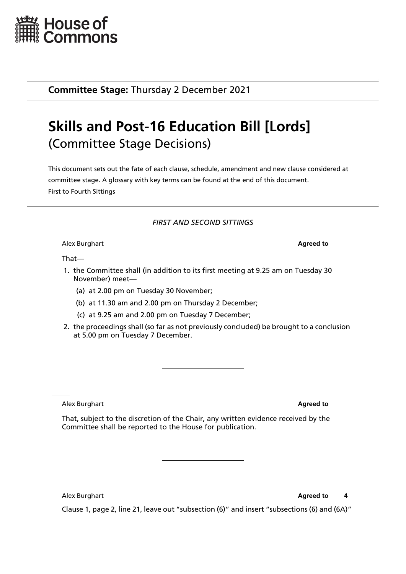

**Committee Stage:** Thursday 2 December 2021

## **Skills and Post-16 Education Bill [Lords]** (Committee Stage Decisions)

This document sets out the fate of each clause, schedule, amendment and new clause considered at committee stage. A glossary with key terms can be found at the end of this document. First to Fourth Sittings

## *FIRST AND SECOND SITTINGS*

Alex Burghart **Agreed to**

That—

- 1. the Committee shall (in addition to its first meeting at 9.25 am on Tuesday 30 November) meet—
	- (a) at 2.00 pm on Tuesday 30 November;
	- (b) at 11.30 am and 2.00 pm on Thursday 2 December;
	- (c) at 9.25 am and 2.00 pm on Tuesday 7 December;
- 2. the proceedings shall (so far as not previously concluded) be brought to a conclusion at 5.00 pm on Tuesday 7 December.

Alex Burghart **Agreed to**

That, subject to the discretion of the Chair, any written evidence received by the Committee shall be reported to the House for publication.

Alex Burghart **Agreed to 4** 

Clause 1, page 2, line 21, leave out "subsection (6)" and insert "subsections (6) and (6A)"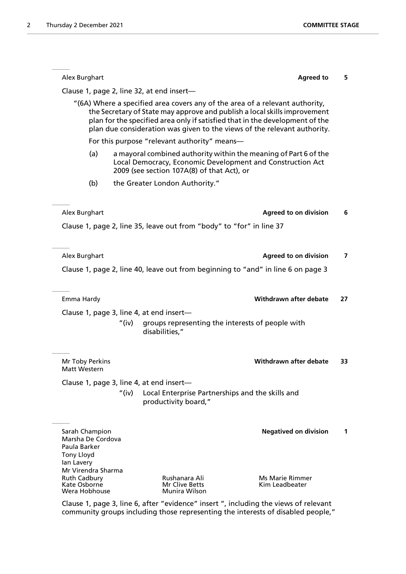| Alex Burghart                                                                          |                                                                                                                                                                                                                                                                                                                       | <b>Agreed to</b>                         | 5  |
|----------------------------------------------------------------------------------------|-----------------------------------------------------------------------------------------------------------------------------------------------------------------------------------------------------------------------------------------------------------------------------------------------------------------------|------------------------------------------|----|
|                                                                                        | Clause 1, page 2, line 32, at end insert-                                                                                                                                                                                                                                                                             |                                          |    |
|                                                                                        | "(6A) Where a specified area covers any of the area of a relevant authority,<br>the Secretary of State may approve and publish a local skills improvement<br>plan for the specified area only if satisfied that in the development of the<br>plan due consideration was given to the views of the relevant authority. |                                          |    |
|                                                                                        | For this purpose "relevant authority" means-                                                                                                                                                                                                                                                                          |                                          |    |
| (a)                                                                                    | a mayoral combined authority within the meaning of Part 6 of the<br>Local Democracy, Economic Development and Construction Act<br>2009 (see section 107A(8) of that Act), or                                                                                                                                          |                                          |    |
| (b)                                                                                    | the Greater London Authority."                                                                                                                                                                                                                                                                                        |                                          |    |
| Alex Burghart                                                                          |                                                                                                                                                                                                                                                                                                                       | <b>Agreed to on division</b>             | 6  |
|                                                                                        | Clause 1, page 2, line 35, leave out from "body" to "for" in line 37                                                                                                                                                                                                                                                  |                                          |    |
| Alex Burghart                                                                          |                                                                                                                                                                                                                                                                                                                       | <b>Agreed to on division</b>             | 7  |
|                                                                                        | Clause 1, page 2, line 40, leave out from beginning to "and" in line 6 on page 3                                                                                                                                                                                                                                      |                                          |    |
| Emma Hardy                                                                             |                                                                                                                                                                                                                                                                                                                       | Withdrawn after debate                   | 27 |
|                                                                                        | Clause 1, page 3, line 4, at end insert-                                                                                                                                                                                                                                                                              |                                          |    |
|                                                                                        | "(iv)<br>groups representing the interests of people with<br>disabilities,"                                                                                                                                                                                                                                           |                                          |    |
| Mr Toby Perkins                                                                        |                                                                                                                                                                                                                                                                                                                       | Withdrawn after debate                   | 33 |
| <b>Matt Western</b>                                                                    |                                                                                                                                                                                                                                                                                                                       |                                          |    |
|                                                                                        | Clause 1, page 3, line 4, at end insert-<br>"(iv)<br>Local Enterprise Partnerships and the skills and<br>productivity board,"                                                                                                                                                                                         |                                          |    |
|                                                                                        |                                                                                                                                                                                                                                                                                                                       |                                          |    |
| Sarah Champion<br>Marsha De Cordova<br>Paula Barker<br><b>Tony Lloyd</b><br>lan Lavery |                                                                                                                                                                                                                                                                                                                       | <b>Negatived on division</b>             | 1  |
| Mr Virendra Sharma<br><b>Ruth Cadbury</b><br>Kate Osborne<br>Wera Hobhouse             | Rushanara Ali<br><b>Mr Clive Betts</b><br>Munira Wilson                                                                                                                                                                                                                                                               | <b>Ms Marie Rimmer</b><br>Kim Leadbeater |    |

Clause 1, page 3, line 6, after "evidence" insert ", including the views of relevant community groups including those representing the interests of disabled people,"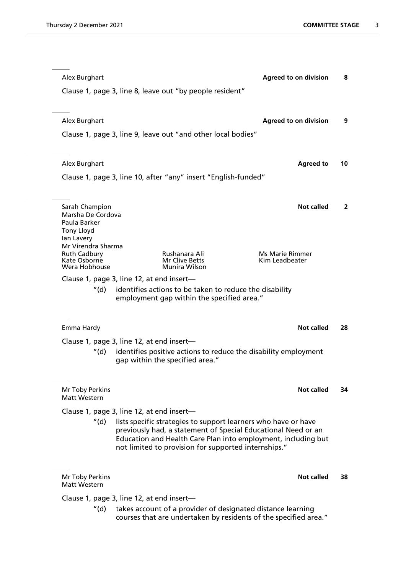| Alex Burghart                             |                                                                                                                                                                                                                                                          | <b>Agreed to on division</b> | 8            |
|-------------------------------------------|----------------------------------------------------------------------------------------------------------------------------------------------------------------------------------------------------------------------------------------------------------|------------------------------|--------------|
|                                           | Clause 1, page 3, line 8, leave out "by people resident"                                                                                                                                                                                                 |                              |              |
| Alex Burghart                             |                                                                                                                                                                                                                                                          | <b>Agreed to on division</b> | 9            |
|                                           |                                                                                                                                                                                                                                                          |                              |              |
|                                           | Clause 1, page 3, line 9, leave out "and other local bodies"                                                                                                                                                                                             |                              |              |
| Alex Burghart                             |                                                                                                                                                                                                                                                          | <b>Agreed to</b>             | 10           |
|                                           | Clause 1, page 3, line 10, after "any" insert "English-funded"                                                                                                                                                                                           |                              |              |
|                                           |                                                                                                                                                                                                                                                          | <b>Not called</b>            |              |
| Sarah Champion<br>Marsha De Cordova       |                                                                                                                                                                                                                                                          |                              | $\mathbf{2}$ |
| Paula Barker<br><b>Tony Lloyd</b>         |                                                                                                                                                                                                                                                          |                              |              |
| lan Lavery                                |                                                                                                                                                                                                                                                          |                              |              |
| Mr Virendra Sharma<br><b>Ruth Cadbury</b> | Rushanara Ali                                                                                                                                                                                                                                            | <b>Ms Marie Rimmer</b>       |              |
| Kate Osborne<br>Wera Hobhouse             | Mr Clive Betts<br>Munira Wilson                                                                                                                                                                                                                          | Kim Leadbeater               |              |
|                                           | Clause 1, page 3, line 12, at end insert-                                                                                                                                                                                                                |                              |              |
| "(d)                                      | identifies actions to be taken to reduce the disability                                                                                                                                                                                                  |                              |              |
|                                           | employment gap within the specified area."                                                                                                                                                                                                               |                              |              |
| Emma Hardy                                |                                                                                                                                                                                                                                                          | <b>Not called</b>            | 28           |
|                                           | Clause 1, page 3, line 12, at end insert-                                                                                                                                                                                                                |                              |              |
| "(d)                                      | identifies positive actions to reduce the disability employment<br>gap within the specified area."                                                                                                                                                       |                              |              |
|                                           |                                                                                                                                                                                                                                                          |                              |              |
| Mr Toby Perkins<br>Matt Western           |                                                                                                                                                                                                                                                          | <b>Not called</b>            | 34           |
|                                           | Clause 1, page 3, line 12, at end insert-                                                                                                                                                                                                                |                              |              |
| "(d) ·                                    | lists specific strategies to support learners who have or have<br>previously had, a statement of Special Educational Need or an<br>Education and Health Care Plan into employment, including but<br>not limited to provision for supported internships." |                              |              |
|                                           |                                                                                                                                                                                                                                                          |                              |              |
| Mr Toby Perkins<br>Matt Western           |                                                                                                                                                                                                                                                          | Not called                   | 38           |
|                                           | Clause 1, page 3, line 12, at end insert-                                                                                                                                                                                                                |                              |              |
| "(d)                                      | takes account of a provider of designated distance learning<br>courses that are undertaken by residents of the specified area."                                                                                                                          |                              |              |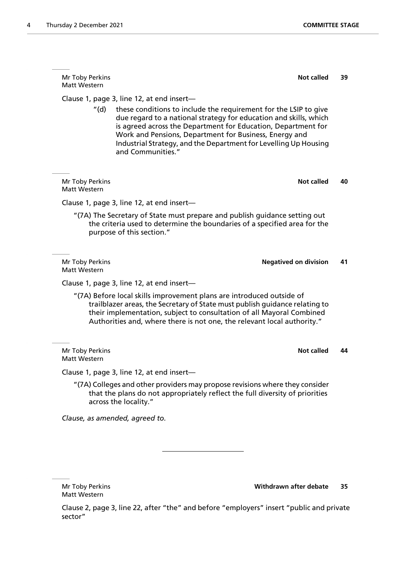Mr Toby Perkins **Not called** 39 Matt Western Clause 1, page 3, line 12, at end insert— "(d) these conditions to include the requirement for the LSIP to give due regard to a national strategy for education and skills, which is agreed across the Department for Education, Department for Work and Pensions, Department for Business, Energy and Industrial Strategy, and the Department for Levelling Up Housing and Communities." **Mr Toby Perkins <b>Not called** 40 Matt Western Clause 1, page 3, line 12, at end insert— "(7A) The Secretary of State must prepare and publish guidance setting out the criteria used to determine the boundaries of a specified area for the purpose of this section." Mr Toby Perkins **Negatived on division 41** Matt Western Clause 1, page 3, line 12, at end insert— "(7A) Before local skills improvement plans are introduced outside of trailblazer areas, the Secretary of State must publish guidance relating to their implementation, subject to consultation of all Mayoral Combined Authorities and, where there is not one, the relevant local authority." **Mr Toby Perkins <b>Not called** 44 Matt Western Clause 1, page 3, line 12, at end insert—

"(7A) Colleges and other providers may propose revisions where they consider that the plans do not appropriately reflect the full diversity of priorities across the locality."

*Clause, as amended, agreed to.*

Matt Western

Mr Toby Perkins **Withdrawn after debate 35**

Clause 2, page 3, line 22, after "the" and before "employers" insert "public and private sector"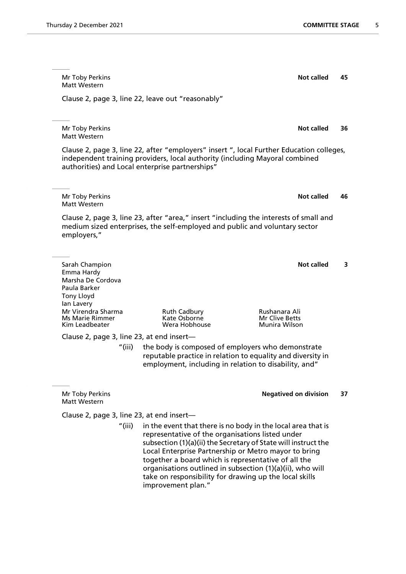| Thursday 2 December 2021 |
|--------------------------|
|--------------------------|

Mr Toby Perkins **Not called** 45 Matt Western Clause 2, page 3, line 22, leave out "reasonably" Mr Toby Perkins **Not called** 36 Matt Western Clause 2, page 3, line 22, after "employers" insert ", local Further Education colleges, independent training providers, local authority (including Mayoral combined authorities) and Local enterprise partnerships" Mr Toby Perkins **Not called** 46 Matt Western Clause 2, page 3, line 23, after "area," insert "including the interests of small and medium sized enterprises, the self-employed and public and voluntary sector employers," **Sarah Champion Not called** 3 Emma Hardy Marsha De Cordova Paula Barker Tony Lloyd Ian Lavery Mr Virendra Sharma Ruth Cadbury Rushanara Ali Ms Marie Rimmer Kate Osborne<br>Kim Leadbeater Kim Corea Hobhouse **Munira Wilson** Clause 2, page 3, line 23, at end insert— "(iii) the body is composed of employers who demonstrate reputable practice in relation to equality and diversity in employment, including in relation to disability, and" Mr Toby Perkins **Negatived on division 37** Matt Western Clause 2, page 3, line 23, at end insert— "(iii) in the event that there is no body in the local area that is representative of the organisations listed under subsection (1)(a)(ii) the Secretary of State will instruct the Local Enterprise Partnership or Metro mayor to bring together a board which is representative of all the

organisations outlined in subsection (1)(a)(ii), who will take on responsibility for drawing up the local skills improvement plan."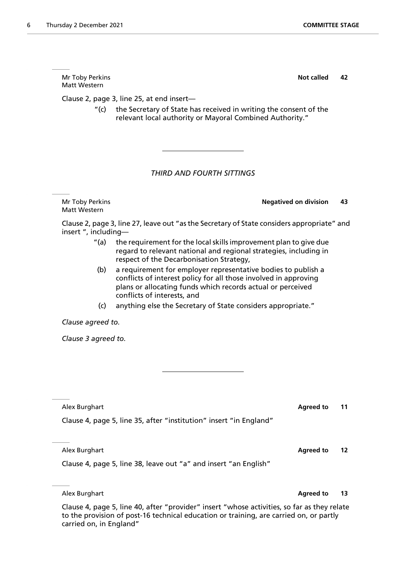Matt Western

Matt Western

Clause 2, page 3, line 25, at end insert—

| (c)                                                                                                                                                                                 | plans or allocating funds which records actual or perceived<br>conflicts of interests, and<br>anything else the Secretary of State considers appropriate." |                  |    |
|-------------------------------------------------------------------------------------------------------------------------------------------------------------------------------------|------------------------------------------------------------------------------------------------------------------------------------------------------------|------------------|----|
| Clause agreed to.                                                                                                                                                                   |                                                                                                                                                            |                  |    |
| Clause 3 agreed to.                                                                                                                                                                 |                                                                                                                                                            |                  |    |
|                                                                                                                                                                                     |                                                                                                                                                            |                  |    |
|                                                                                                                                                                                     |                                                                                                                                                            |                  |    |
|                                                                                                                                                                                     |                                                                                                                                                            |                  |    |
| Alex Burghart                                                                                                                                                                       |                                                                                                                                                            | <b>Agreed to</b> | 11 |
|                                                                                                                                                                                     | Clause 4, page 5, line 35, after "institution" insert "in England"                                                                                         |                  |    |
|                                                                                                                                                                                     |                                                                                                                                                            |                  |    |
| Alex Burghart                                                                                                                                                                       |                                                                                                                                                            | <b>Agreed to</b> | 12 |
|                                                                                                                                                                                     | Clause 4, page 5, line 38, leave out "a" and insert "an English"                                                                                           |                  |    |
|                                                                                                                                                                                     |                                                                                                                                                            |                  |    |
| Alex Burghart                                                                                                                                                                       |                                                                                                                                                            | <b>Agreed to</b> | 13 |
| Clause 4, page 5, line 40, after "provider" insert "whose activities, so far as they relate<br>to the provision of post 16 tochnical education or training are carried on or partly |                                                                                                                                                            |                  |    |

Clause 2, page 3, line 27, leave out "as the Secretary of State considers appropriate" and insert ", including—

Mr Toby Perkins **Negatived on division 43**

*THIRD AND FOURTH SITTINGS*

Mr Toby Perkins **Not called** 42

"(c) the Secretary of State has received in writing the consent of the relevant local authority or Mayoral Combined Authority."

- "(a) the requirement for the local skills improvement plan to give due regard to relevant national and regional strategies, including in respect of the Decarbonisation Strategy,
- (b) a requirement for employer representative bodies to publish a conflicts of interest policy for all those involved in approving plans or allocating funds which records actual or perceived

to the provision of post-16 technical education or training, are carried on, or partly carried on, in England"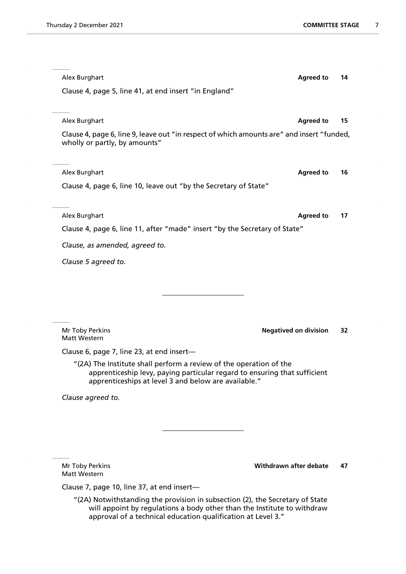| Alex Burghart                                                                                                                                                                                                            | <b>Agreed to</b>             | 14 |
|--------------------------------------------------------------------------------------------------------------------------------------------------------------------------------------------------------------------------|------------------------------|----|
| Clause 4, page 5, line 41, at end insert "in England"                                                                                                                                                                    |                              |    |
|                                                                                                                                                                                                                          |                              |    |
| Alex Burghart                                                                                                                                                                                                            | <b>Agreed to</b>             | 15 |
| Clause 4, page 6, line 9, leave out "in respect of which amounts are" and insert "funded,<br>wholly or partly, by amounts"                                                                                               |                              |    |
| Alex Burghart                                                                                                                                                                                                            | <b>Agreed to</b>             | 16 |
| Clause 4, page 6, line 10, leave out "by the Secretary of State"                                                                                                                                                         |                              |    |
|                                                                                                                                                                                                                          |                              |    |
| Alex Burghart                                                                                                                                                                                                            | <b>Agreed to</b>             | 17 |
| Clause 4, page 6, line 11, after "made" insert "by the Secretary of State"                                                                                                                                               |                              |    |
| Clause, as amended, agreed to.                                                                                                                                                                                           |                              |    |
| Clause 5 agreed to.                                                                                                                                                                                                      |                              |    |
|                                                                                                                                                                                                                          |                              |    |
|                                                                                                                                                                                                                          |                              |    |
|                                                                                                                                                                                                                          |                              |    |
|                                                                                                                                                                                                                          |                              |    |
| Mr Toby Perkins<br>Matt Western                                                                                                                                                                                          | <b>Negatived on division</b> | 32 |
| Clause 6, page 7, line 23, at end insert-                                                                                                                                                                                |                              |    |
| "(2A) The Institute shall perform a review of the operation of the<br>apprenticeship levy, paying particular regard to ensuring that sufficient<br>apprenticeships at level 3 and below are available."                  |                              |    |
| Clause agreed to.                                                                                                                                                                                                        |                              |    |
|                                                                                                                                                                                                                          |                              |    |
|                                                                                                                                                                                                                          |                              |    |
|                                                                                                                                                                                                                          |                              |    |
|                                                                                                                                                                                                                          |                              |    |
| Mr Toby Perkins<br><b>Matt Western</b>                                                                                                                                                                                   | Withdrawn after debate       | 47 |
| Clause 7, page 10, line 37, at end insert-                                                                                                                                                                               |                              |    |
| "(2A) Notwithstanding the provision in subsection (2), the Secretary of State<br>will appoint by regulations a body other than the Institute to withdraw<br>approval of a technical education qualification at Level 3." |                              |    |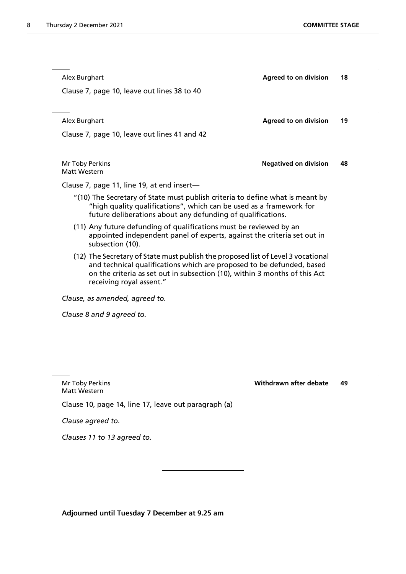| Alex Burghart                                                                                                                                                                                                                                                       | <b>Agreed to on division</b> | 18 |
|---------------------------------------------------------------------------------------------------------------------------------------------------------------------------------------------------------------------------------------------------------------------|------------------------------|----|
| Clause 7, page 10, leave out lines 38 to 40                                                                                                                                                                                                                         |                              |    |
|                                                                                                                                                                                                                                                                     |                              |    |
| Alex Burghart                                                                                                                                                                                                                                                       | <b>Agreed to on division</b> | 19 |
| Clause 7, page 10, leave out lines 41 and 42                                                                                                                                                                                                                        |                              |    |
|                                                                                                                                                                                                                                                                     |                              |    |
| Mr Toby Perkins<br>Matt Western                                                                                                                                                                                                                                     | <b>Negatived on division</b> | 48 |
| Clause 7, page 11, line 19, at end insert-                                                                                                                                                                                                                          |                              |    |
| "(10) The Secretary of State must publish criteria to define what is meant by<br>"high quality qualifications", which can be used as a framework for<br>future deliberations about any defunding of qualifications.                                                 |                              |    |
| (11) Any future defunding of qualifications must be reviewed by an<br>appointed independent panel of experts, against the criteria set out in<br>subsection (10).                                                                                                   |                              |    |
| (12) The Secretary of State must publish the proposed list of Level 3 vocational<br>and technical qualifications which are proposed to be defunded, based<br>on the criteria as set out in subsection (10), within 3 months of this Act<br>receiving royal assent." |                              |    |
| Clause, as amended, agreed to.                                                                                                                                                                                                                                      |                              |    |
| Clause 8 and 9 agreed to.                                                                                                                                                                                                                                           |                              |    |
|                                                                                                                                                                                                                                                                     |                              |    |
|                                                                                                                                                                                                                                                                     |                              |    |
|                                                                                                                                                                                                                                                                     |                              |    |
|                                                                                                                                                                                                                                                                     |                              |    |

Matt Western Clause 10, page 14, line 17, leave out paragraph (a)

Mr Toby Perkins **Withdrawn after debate 49**

*Clause agreed to.*

*Clauses 11 to 13 agreed to.*

**Adjourned until Tuesday 7 December at 9.25 am**